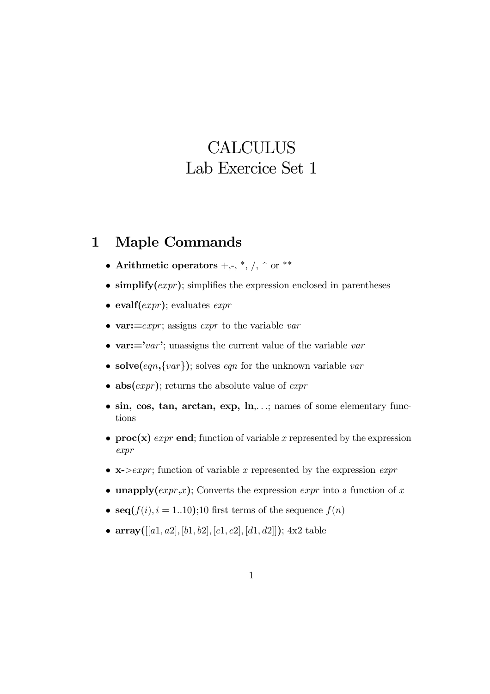## **CALCULUS** Lab Exercice Set 1

## 1 Maple Commands

- Arithmetic operators  $+,-, *, /, \hat{ }$  or \*\*
- simplify  $(expr)$ ; simplifies the expression enclosed in parentheses
- evalf $(exp)$ ; evaluates  $expr$
- var: $=$ expr; assigns expr to the variable var
- var: $=$ 'var'; unassigns the current value of the variable var
- solve $(eqn, \{var\})$ ; solves eqn for the unknown variable var
- abs $(exp)$ ; returns the absolute value of  $expr$
- sin, cos, tan, arctan, exp,  $\ln$ ,  $\ldots$ ; names of some elementary functions
- proc(x) expr end; function of variable x represented by the expression expr
- $x$ ->expr; function of variable x represented by the expression expr
- unapply $(exp, x)$ ; Converts the expression  $expr$  into a function of x
- seq $(f(i), i = 1..10);10$  first terms of the sequence  $f(n)$
- array( $[[a1, a2], [b1, b2], [c1, c2], [d1, d2]]$ ); 4x2 table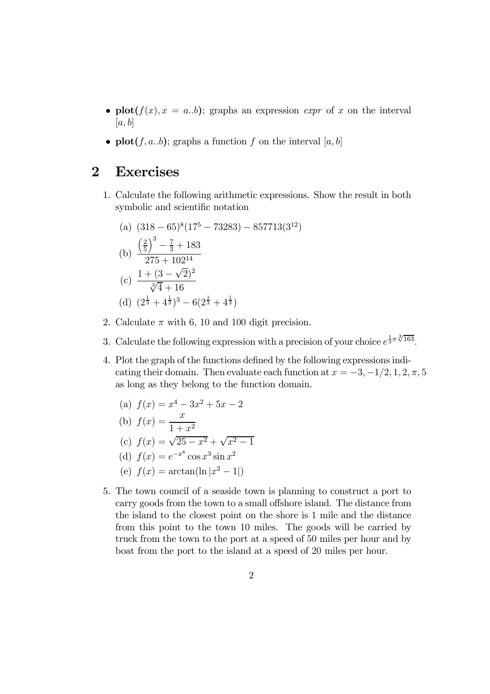- plot( $f(x)$ ,  $x = a,b$ ); graphs an expression *expr* of x on the interval  $[a, b]$
- plot( $f, a,b$ ); graphs a function  $f$  on the interval  $[a, b]$

## 2 Exercises

1. Calculate the following arithmetic expressions. Show the result in both symbolic and scientific notation

(a) 
$$
(318 - 65)^8 (17^5 - 73283) - 857713(3^{12})
$$
  
\n(b)  $\frac{\left(\frac{2}{5}\right)^3 - \frac{7}{3} + 183}{275 + 102^{14}}$   
\n(c)  $\frac{1 + (3 - \sqrt{2})^2}{\sqrt[3]{4} + 16}$   
\n(d)  $(2^{\frac{1}{3}} + 4^{\frac{1}{3}})^3 - 6(2^{\frac{1}{3}} + 4^{\frac{1}{3}})$ 

- 2. Calculate  $\pi$  with 6, 10 and 100 digit precision.
- 3. Calculate the following expression with a precision of your choice  $e^{\frac{1}{3}\pi \sqrt[3]{163}}$ .
- 4. Plot the graph of the functions defined by the following expressions indicating their domain. Then evaluate each function at  $x = -3, -1/2, 1, 2, \pi, 5$ as long as they belong to the function domain.
	- (a)  $f(x) = x^4 3x^2 + 5x 2$

(b) 
$$
f(x) = \frac{x}{1 + x^2}
$$

- (c)  $f(x) = \sqrt{25 x^2} + \sqrt{x^2 1}$
- (d)  $f(x) = e^{-x^4} \cos x^3 \sin x^2$
- (e)  $f(x) = \arctan(\ln|x^2 1|)$
- 5. The town council of a seaside town is planning to construct a port to carry goods from the town to a small offshore island. The distance from the island to the closest point on the shore is 1 mile and the distance from this point to the town 10 miles. The goods will be carried by truck from the town to the port at a speed of 50 miles per hour and by boat from the port to the island at a speed of 20 miles per hour.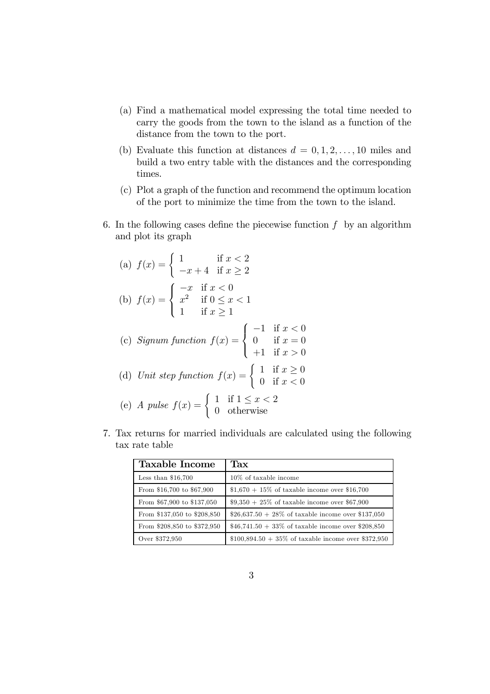- (a) Find a mathematical model expressing the total time needed to carry the goods from the town to the island as a function of the distance from the town to the port.
- (b) Evaluate this function at distances  $d = 0, 1, 2, \ldots, 10$  miles and build a two entry table with the distances and the corresponding times.
- (c) Plot a graph of the function and recommend the optimum location of the port to minimize the time from the town to the island.
- 6. In the following cases define the piecewise function  $f$  by an algorithm and plot its graph

(a) 
$$
f(x) = \begin{cases} 1 & \text{if } x < 2 \\ -x + 4 & \text{if } x \ge 2 \end{cases}
$$
  
\n(b) 
$$
f(x) = \begin{cases} -x & \text{if } x < 0 \\ x^2 & \text{if } 0 \le x < 1 \\ 1 & \text{if } x \ge 1 \end{cases}
$$
  
\n(c) *Signum function* 
$$
f(x) = \begin{cases} -1 & \text{if } x < 0 \\ 0 & \text{if } x = 0 \\ +1 & \text{if } x > 0 \end{cases}
$$
  
\n(d) *Unit step function* 
$$
f(x) = \begin{cases} 1 & \text{if } x \ge 0 \\ 0 & \text{if } x < 0 \end{cases}
$$

- (e) A pulse  $f(x) = \begin{cases} 1 & \text{if } 1 \leq x < 2 \\ 0 & \text{otherwise} \end{cases}$ 0 otherwise
- 7. Tax returns for married individuals are calculated using the following tax rate table

| <b>Taxable Income</b>       | Tax                                                   |
|-----------------------------|-------------------------------------------------------|
| Less than $$16,700$         | 10\% of taxable income                                |
| From \$16,700 to \$67,900   | $$1,670 + 15\%$ of taxable income over \$16,700       |
| From \$67,900 to \$137,050  | $$9,350 + 25\%$ of taxable income over \$67,900       |
| From \$137,050 to \$208,850 | \$26,637.50 + 28\% of taxable income over \$137,050   |
| From \$208,850 to \$372,950 | \$46,741.50 + 33\% of taxable income over \$208,850   |
| Over \$372,950              | $$100,894.50 + 35\%$ of taxable income over \$372,950 |